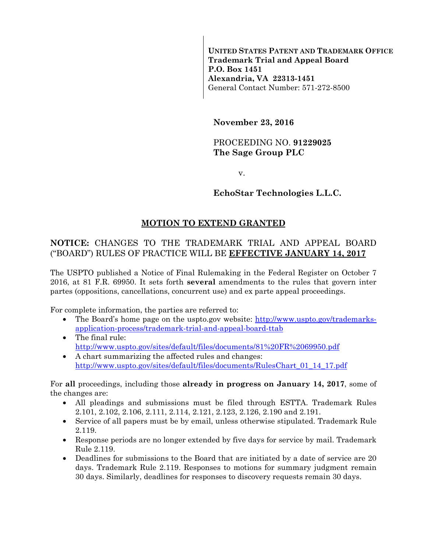**UNITED STATES PATENT AND TRADEMARK OFFICE Trademark Trial and Appeal Board P.O. Box 1451 Alexandria, VA 22313-1451**  General Contact Number: 571-272-8500

**November 23, 2016** 

### PROCEEDING NO. **91229025 The Sage Group PLC**

v.

# **EchoStar Technologies L.L.C.**

# **MOTION TO EXTEND GRANTED**

# **NOTICE:** CHANGES TO THE TRADEMARK TRIAL AND APPEAL BOARD ("BOARD") RULES OF PRACTICE WILL BE **EFFECTIVE JANUARY 14, 2017**

The USPTO published a Notice of Final Rulemaking in the Federal Register on October 7 2016, at 81 F.R. 69950. It sets forth **several** amendments to the rules that govern inter partes (oppositions, cancellations, concurrent use) and ex parte appeal proceedings.

For complete information, the parties are referred to:

- The Board's home page on the uspto.gov website: http://www.uspto.gov/trademarksapplication-process/trademark-trial-and-appeal-board-ttab
- The final rule: http://www.uspto.gov/sites/default/files/documents/81%20FR%2069950.pdf
- A chart summarizing the affected rules and changes: http://www.uspto.gov/sites/default/files/documents/RulesChart\_01\_14\_17.pdf

For **all** proceedings, including those **already in progress on January 14, 2017**, some of the changes are:

- All pleadings and submissions must be filed through ESTTA. Trademark Rules 2.101, 2.102, 2.106, 2.111, 2.114, 2.121, 2.123, 2.126, 2.190 and 2.191.
- Service of all papers must be by email, unless otherwise stipulated. Trademark Rule 2.119.
- Response periods are no longer extended by five days for service by mail. Trademark Rule 2.119.
- Deadlines for submissions to the Board that are initiated by a date of service are 20 days. Trademark Rule 2.119. Responses to motions for summary judgment remain 30 days. Similarly, deadlines for responses to discovery requests remain 30 days.